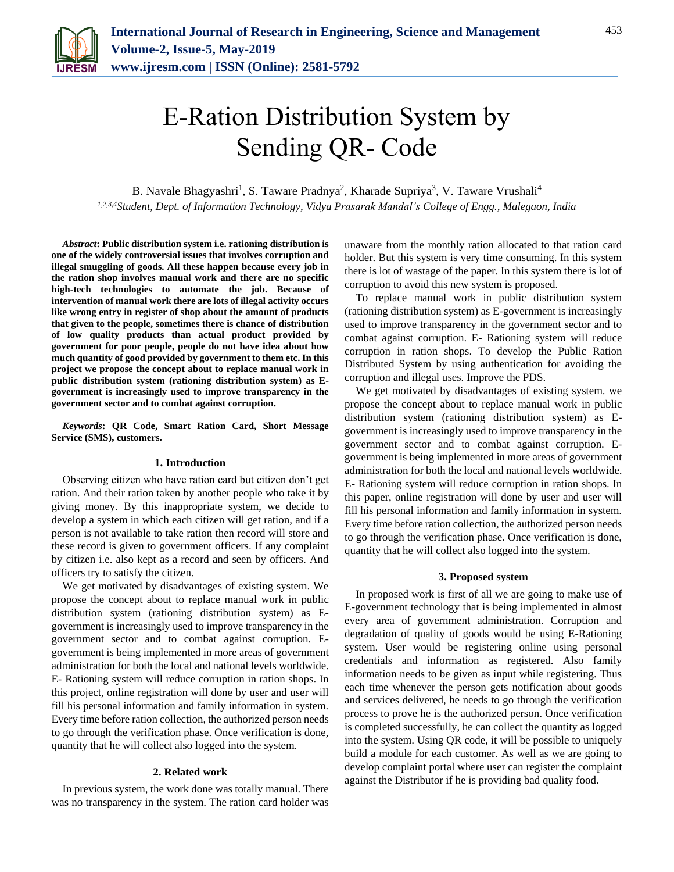

# E-Ration Distribution System by Sending QR- Code

B. Navale Bhagyashri<sup>1</sup>, S. Taware Pradnya<sup>2</sup>, Kharade Supriya<sup>3</sup>, V. Taware Vrushali<sup>4</sup> *1,2,3,4Student, Dept. of Information Technology, Vidya Prasarak Mandal's College of Engg., Malegaon, India*

*Abstract***: Public distribution system i.e. rationing distribution is one of the widely controversial issues that involves corruption and illegal smuggling of goods. All these happen because every job in the ration shop involves manual work and there are no specific high-tech technologies to automate the job. Because of intervention of manual work there are lots of illegal activity occurs like wrong entry in register of shop about the amount of products that given to the people, sometimes there is chance of distribution of low quality products than actual product provided by government for poor people, people do not have idea about how much quantity of good provided by government to them etc. In this project we propose the concept about to replace manual work in public distribution system (rationing distribution system) as Egovernment is increasingly used to improve transparency in the government sector and to combat against corruption.**

*Keywords***: QR Code, Smart Ration Card, Short Message Service (SMS), customers.**

#### **1. Introduction**

Observing citizen who have ration card but citizen don't get ration. And their ration taken by another people who take it by giving money. By this inappropriate system, we decide to develop a system in which each citizen will get ration, and if a person is not available to take ration then record will store and these record is given to government officers. If any complaint by citizen i.e. also kept as a record and seen by officers. And officers try to satisfy the citizen.

We get motivated by disadvantages of existing system. We propose the concept about to replace manual work in public distribution system (rationing distribution system) as Egovernment is increasingly used to improve transparency in the government sector and to combat against corruption. Egovernment is being implemented in more areas of government administration for both the local and national levels worldwide. E- Rationing system will reduce corruption in ration shops. In this project, online registration will done by user and user will fill his personal information and family information in system. Every time before ration collection, the authorized person needs to go through the verification phase. Once verification is done, quantity that he will collect also logged into the system.

#### **2. Related work**

In previous system, the work done was totally manual. There was no transparency in the system. The ration card holder was unaware from the monthly ration allocated to that ration card holder. But this system is very time consuming. In this system there is lot of wastage of the paper. In this system there is lot of corruption to avoid this new system is proposed.

To replace manual work in public distribution system (rationing distribution system) as E-government is increasingly used to improve transparency in the government sector and to combat against corruption. E- Rationing system will reduce corruption in ration shops. To develop the Public Ration Distributed System by using authentication for avoiding the corruption and illegal uses. Improve the PDS.

We get motivated by disadvantages of existing system. we propose the concept about to replace manual work in public distribution system (rationing distribution system) as Egovernment is increasingly used to improve transparency in the government sector and to combat against corruption. Egovernment is being implemented in more areas of government administration for both the local and national levels worldwide. E- Rationing system will reduce corruption in ration shops. In this paper, online registration will done by user and user will fill his personal information and family information in system. Every time before ration collection, the authorized person needs to go through the verification phase. Once verification is done, quantity that he will collect also logged into the system.

#### **3. Proposed system**

In proposed work is first of all we are going to make use of E-government technology that is being implemented in almost every area of government administration. Corruption and degradation of quality of goods would be using E-Rationing system. User would be registering online using personal credentials and information as registered. Also family information needs to be given as input while registering. Thus each time whenever the person gets notification about goods and services delivered, he needs to go through the verification process to prove he is the authorized person. Once verification is completed successfully, he can collect the quantity as logged into the system. Using QR code, it will be possible to uniquely build a module for each customer. As well as we are going to develop complaint portal where user can register the complaint against the Distributor if he is providing bad quality food.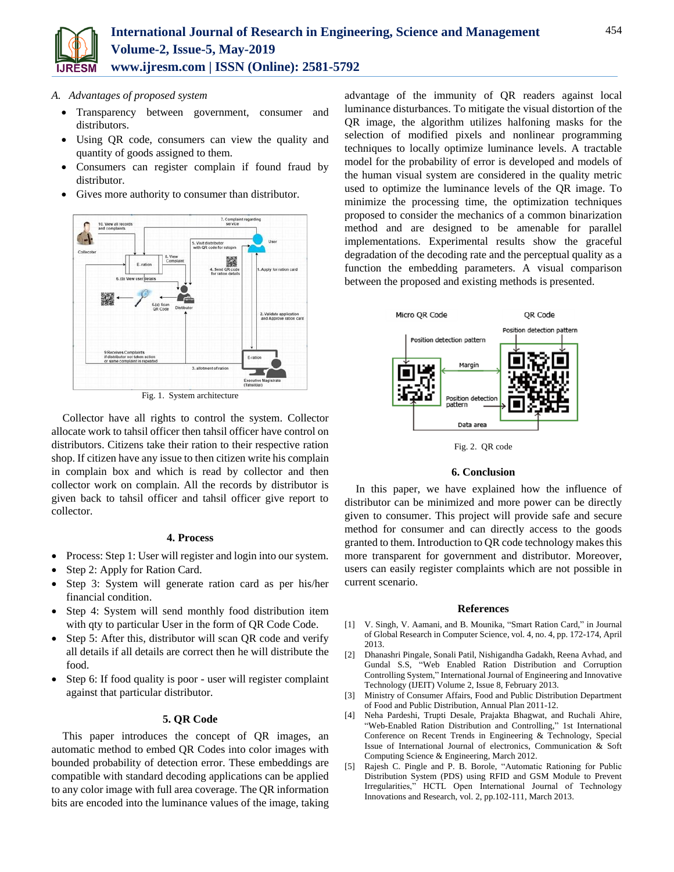

# *A. Advantages of proposed system*

- Transparency between government, consumer and distributors.
- Using QR code, consumers can view the quality and quantity of goods assigned to them.
- Consumers can register complain if found fraud by distributor.
- Gives more authority to consumer than distributor.



Fig. 1. System architecture

Collector have all rights to control the system. Collector allocate work to tahsil officer then tahsil officer have control on distributors. Citizens take their ration to their respective ration shop. If citizen have any issue to then citizen write his complain in complain box and which is read by collector and then collector work on complain. All the records by distributor is given back to tahsil officer and tahsil officer give report to collector.

## **4. Process**

- Process: Step 1: User will register and login into our system.
- Step 2: Apply for Ration Card.
- Step 3: System will generate ration card as per his/her financial condition.
- Step 4: System will send monthly food distribution item with qty to particular User in the form of QR Code Code.
- Step 5: After this, distributor will scan QR code and verify all details if all details are correct then he will distribute the food.
- Step 6: If food quality is poor user will register complaint against that particular distributor.

# **5. QR Code**

This paper introduces the concept of QR images, an automatic method to embed QR Codes into color images with bounded probability of detection error. These embeddings are compatible with standard decoding applications can be applied to any color image with full area coverage. The QR information bits are encoded into the luminance values of the image, taking advantage of the immunity of QR readers against local luminance disturbances. To mitigate the visual distortion of the QR image, the algorithm utilizes halfoning masks for the selection of modified pixels and nonlinear programming techniques to locally optimize luminance levels. A tractable model for the probability of error is developed and models of the human visual system are considered in the quality metric used to optimize the luminance levels of the QR image. To minimize the processing time, the optimization techniques proposed to consider the mechanics of a common binarization method and are designed to be amenable for parallel implementations. Experimental results show the graceful degradation of the decoding rate and the perceptual quality as a function the embedding parameters. A visual comparison between the proposed and existing methods is presented.



Fig. 2. QR code

# **6. Conclusion**

In this paper, we have explained how the influence of distributor can be minimized and more power can be directly given to consumer. This project will provide safe and secure method for consumer and can directly access to the goods granted to them. Introduction to QR code technology makes this more transparent for government and distributor. Moreover, users can easily register complaints which are not possible in current scenario.

## **References**

- [1] V. Singh, V. Aamani, and B. Mounika, "Smart Ration Card," in Journal of Global Research in Computer Science, vol. 4, no. 4, pp. 172-174, April 2013.
- [2] Dhanashri Pingale, Sonali Patil, Nishigandha Gadakh, Reena Avhad, and Gundal S.S, "Web Enabled Ration Distribution and Corruption Controlling System," International Journal of Engineering and Innovative Technology (IJEIT) Volume 2, Issue 8, February 2013.
- [3] Ministry of Consumer Affairs, Food and Public Distribution Department of Food and Public Distribution, Annual Plan 2011-12.
- [4] Neha Pardeshi, Trupti Desale, Prajakta Bhagwat, and Ruchali Ahire, "Web-Enabled Ration Distribution and Controlling," 1st International Conference on Recent Trends in Engineering & Technology, Special Issue of International Journal of electronics, Communication & Soft Computing Science & Engineering, March 2012.
- [5] Rajesh C. Pingle and P. B. Borole, "Automatic Rationing for Public Distribution System (PDS) using RFID and GSM Module to Prevent Irregularities," HCTL Open International Journal of Technology Innovations and Research, vol. 2, pp.102-111, March 2013.